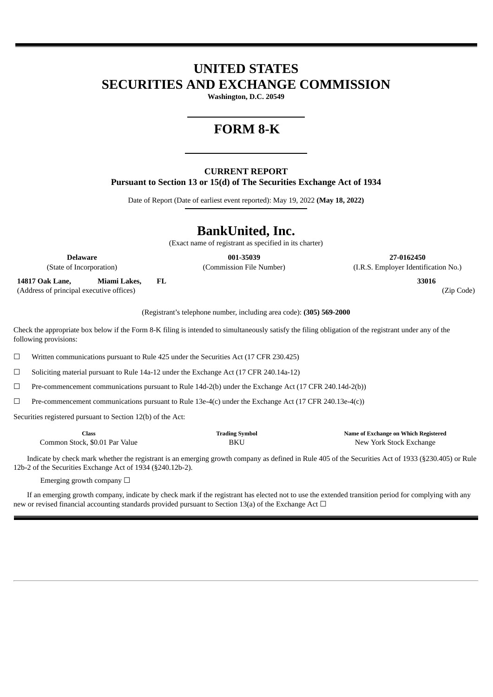# **UNITED STATES SECURITIES AND EXCHANGE COMMISSION**

**Washington, D.C. 20549**

# **FORM 8-K**

### **CURRENT REPORT Pursuant to Section 13 or 15(d) of The Securities Exchange Act of 1934**

Date of Report (Date of earliest event reported): May 19, 2022 **(May 18, 2022)**

## **BankUnited, Inc.**

(Exact name of registrant as specified in its charter)

**Delaware 001-35039 27-0162450**

(State of Incorporation) (Commission File Number) (I.R.S. Employer Identification No.)

**14817 Oak Lane, Miami Lakes, FL 33016** (Address of principal executive offices) (Zip Code)

(Registrant's telephone number, including area code): **(305) 569-2000**

Check the appropriate box below if the Form 8-K filing is intended to simultaneously satisfy the filing obligation of the registrant under any of the following provisions:

☐ Written communications pursuant to Rule 425 under the Securities Act (17 CFR 230.425)

☐ Soliciting material pursuant to Rule 14a-12 under the Exchange Act (17 CFR 240.14a-12)

☐ Pre-commencement communications pursuant to Rule 14d-2(b) under the Exchange Act (17 CFR 240.14d-2(b))

 $□$  Pre-commencement communications pursuant to Rule 13e-4(c) under the Exchange Act (17 CFR 240.13e-4(c))

Securities registered pursuant to Section 12(b) of the Act:

| Class                          | Trading Symbol | Name of Exchange on Which Registered |
|--------------------------------|----------------|--------------------------------------|
| Common Stock, \$0.01 Par Value | BKU            | New York Stock Exchange              |

Indicate by check mark whether the registrant is an emerging growth company as defined in Rule 405 of the Securities Act of 1933 (§230.405) or Rule 12b-2 of the Securities Exchange Act of 1934 (§240.12b-2).

Emerging growth company  $\Box$ 

If an emerging growth company, indicate by check mark if the registrant has elected not to use the extended transition period for complying with any new or revised financial accounting standards provided pursuant to Section 13(a) of the Exchange Act  $\Box$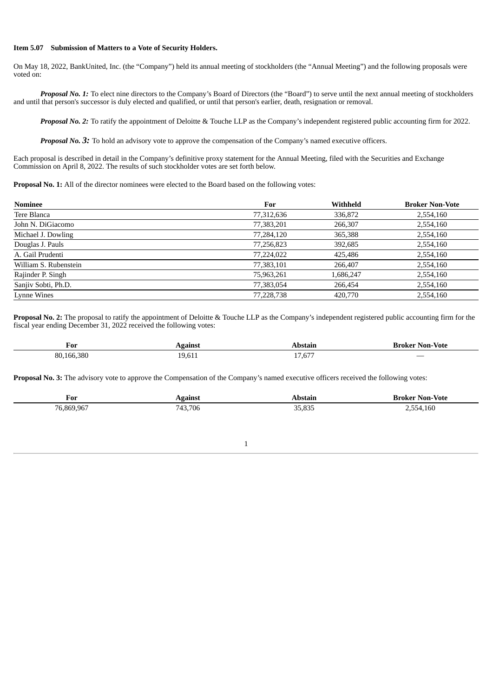#### **Item 5.07 Submission of Matters to a Vote of Security Holders.**

On May 18, 2022, BankUnited, Inc. (the "Company") held its annual meeting of stockholders (the "Annual Meeting") and the following proposals were voted on:

*Proposal No.* 1: To elect nine directors to the Company's Board of Directors (the "Board") to serve until the next annual meeting of stockholders and until that person's successor is duly elected and qualified, or until that person's earlier, death, resignation or removal.

*Proposal No. 2:* To ratify the appointment of Deloitte & Touche LLP as the Company's independent registered public accounting firm for 2022.

*Proposal No. 3:* To hold an advisory vote to approve the compensation of the Company's named executive officers.

Each proposal is described in detail in the Company's definitive proxy statement for the Annual Meeting, filed with the Securities and Exchange Commission on April 8, 2022. The results of such stockholder votes are set forth below.

**Proposal No. 1:** All of the director nominees were elected to the Board based on the following votes:

| <b>Nominee</b>        | For        | Withheld  | <b>Broker Non-Vote</b> |
|-----------------------|------------|-----------|------------------------|
| Tere Blanca           | 77,312,636 | 336,872   | 2,554,160              |
| John N. DiGiacomo     | 77,383,201 | 266,307   | 2,554,160              |
| Michael J. Dowling    | 77,284,120 | 365,388   | 2,554,160              |
| Douglas J. Pauls      | 77,256,823 | 392,685   | 2,554,160              |
| A. Gail Prudenti      | 77,224,022 | 425,486   | 2,554,160              |
| William S. Rubenstein | 77,383,101 | 266,407   | 2,554,160              |
| Rajinder P. Singh     | 75,963,261 | 1,686,247 | 2,554,160              |
| Sanjiv Sobti, Ph.D.   | 77,383,054 | 266,454   | 2,554,160              |
| Lynne Wines           | 77,228,738 | 420,770   | 2,554,160              |

**Proposal No. 2:** The proposal to ratify the appointment of Deloitte & Touche LLP as the Company's independent registered public accounting firm for the fiscal year ending December 31, 2022 received the following votes:

| ▼<br>For<br>___ | eamst    |                                         | Non-Vote<br>sroker<br>. |
|-----------------|----------|-----------------------------------------|-------------------------|
| 380<br>166      | $-0,0.1$ | C77<br>$^{\circ}$ , 0<br><b>.</b><br>__ |                         |

**Proposal No. 3:** The advisory vote to approve the Compensation of the Company's named executive officers received the following votes:

| For                                   | Against | bstain.              | Broker Non-Vote |
|---------------------------------------|---------|----------------------|-----------------|
| .,869.967<br>$\overline{\phantom{a}}$ | 743,706 | 0.25<br>n-<br>ჯა,გკუ | .554,160        |